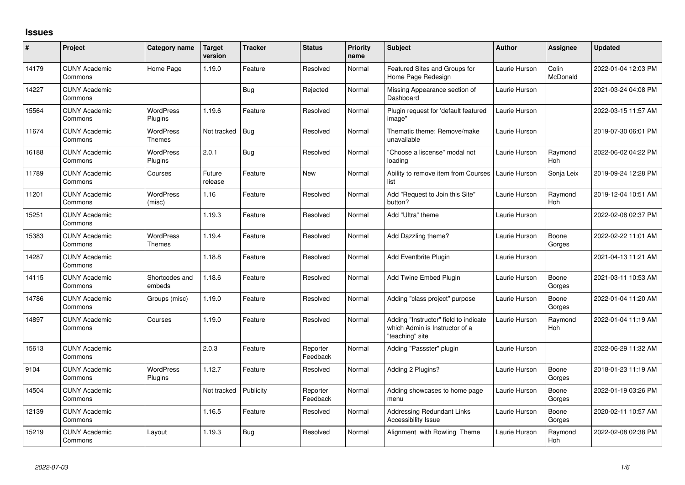## **Issues**

| $\sharp$ | Project                         | Category name               | <b>Target</b><br>version | <b>Tracker</b> | <b>Status</b>        | <b>Priority</b><br>name | <b>Subject</b>                                                                             | Author        | Assignee              | <b>Updated</b>      |
|----------|---------------------------------|-----------------------------|--------------------------|----------------|----------------------|-------------------------|--------------------------------------------------------------------------------------------|---------------|-----------------------|---------------------|
| 14179    | <b>CUNY Academic</b><br>Commons | Home Page                   | 1.19.0                   | Feature        | Resolved             | Normal                  | Featured Sites and Groups for<br>Home Page Redesign                                        | Laurie Hurson | Colin<br>McDonald     | 2022-01-04 12:03 PM |
| 14227    | <b>CUNY Academic</b><br>Commons |                             |                          | Bug            | Rejected             | Normal                  | Missing Appearance section of<br>Dashboard                                                 | Laurie Hurson |                       | 2021-03-24 04:08 PM |
| 15564    | <b>CUNY Academic</b><br>Commons | <b>WordPress</b><br>Plugins | 1.19.6                   | Feature        | Resolved             | Normal                  | Plugin request for 'default featured<br>image"                                             | Laurie Hurson |                       | 2022-03-15 11:57 AM |
| 11674    | <b>CUNY Academic</b><br>Commons | WordPress<br><b>Themes</b>  | Not tracked              | <b>Bug</b>     | Resolved             | Normal                  | Thematic theme: Remove/make<br>unavailable                                                 | Laurie Hurson |                       | 2019-07-30 06:01 PM |
| 16188    | <b>CUNY Academic</b><br>Commons | <b>WordPress</b><br>Plugins | 2.0.1                    | Bug            | Resolved             | Normal                  | "Choose a liscense" modal not<br>loading                                                   | Laurie Hurson | Raymond<br><b>Hoh</b> | 2022-06-02 04:22 PM |
| 11789    | <b>CUNY Academic</b><br>Commons | Courses                     | Future<br>release        | Feature        | New                  | Normal                  | Ability to remove item from Courses<br>list                                                | Laurie Hurson | Sonja Leix            | 2019-09-24 12:28 PM |
| 11201    | <b>CUNY Academic</b><br>Commons | <b>WordPress</b><br>(misc)  | 1.16                     | Feature        | Resolved             | Normal                  | Add "Request to Join this Site"<br>button?                                                 | Laurie Hurson | Raymond<br><b>Hoh</b> | 2019-12-04 10:51 AM |
| 15251    | <b>CUNY Academic</b><br>Commons |                             | 1.19.3                   | Feature        | Resolved             | Normal                  | Add "Ultra" theme                                                                          | Laurie Hurson |                       | 2022-02-08 02:37 PM |
| 15383    | <b>CUNY Academic</b><br>Commons | <b>WordPress</b><br>Themes  | 1.19.4                   | Feature        | Resolved             | Normal                  | Add Dazzling theme?                                                                        | Laurie Hurson | Boone<br>Gorges       | 2022-02-22 11:01 AM |
| 14287    | <b>CUNY Academic</b><br>Commons |                             | 1.18.8                   | Feature        | Resolved             | Normal                  | Add Eventbrite Plugin                                                                      | Laurie Hurson |                       | 2021-04-13 11:21 AM |
| 14115    | <b>CUNY Academic</b><br>Commons | Shortcodes and<br>embeds    | 1.18.6                   | Feature        | Resolved             | Normal                  | Add Twine Embed Plugin                                                                     | Laurie Hurson | Boone<br>Gorges       | 2021-03-11 10:53 AM |
| 14786    | <b>CUNY Academic</b><br>Commons | Groups (misc)               | 1.19.0                   | Feature        | Resolved             | Normal                  | Adding "class project" purpose                                                             | Laurie Hurson | Boone<br>Gorges       | 2022-01-04 11:20 AM |
| 14897    | <b>CUNY Academic</b><br>Commons | Courses                     | 1.19.0                   | Feature        | Resolved             | Normal                  | Adding "Instructor" field to indicate<br>which Admin is Instructor of a<br>"teaching" site | Laurie Hurson | Raymond<br>Hoh        | 2022-01-04 11:19 AM |
| 15613    | <b>CUNY Academic</b><br>Commons |                             | 2.0.3                    | Feature        | Reporter<br>Feedback | Normal                  | Adding "Passster" plugin                                                                   | Laurie Hurson |                       | 2022-06-29 11:32 AM |
| 9104     | <b>CUNY Academic</b><br>Commons | WordPress<br>Plugins        | 1.12.7                   | Feature        | Resolved             | Normal                  | Adding 2 Plugins?                                                                          | Laurie Hurson | Boone<br>Gorges       | 2018-01-23 11:19 AM |
| 14504    | <b>CUNY Academic</b><br>Commons |                             | Not tracked              | Publicity      | Reporter<br>Feedback | Normal                  | Adding showcases to home page<br>menu                                                      | Laurie Hurson | Boone<br>Gorges       | 2022-01-19 03:26 PM |
| 12139    | <b>CUNY Academic</b><br>Commons |                             | 1.16.5                   | Feature        | Resolved             | Normal                  | <b>Addressing Redundant Links</b><br>Accessibility Issue                                   | Laurie Hurson | Boone<br>Gorges       | 2020-02-11 10:57 AM |
| 15219    | <b>CUNY Academic</b><br>Commons | Layout                      | 1.19.3                   | <b>Bug</b>     | Resolved             | Normal                  | Alignment with Rowling Theme                                                               | Laurie Hurson | Raymond<br>Hoh        | 2022-02-08 02:38 PM |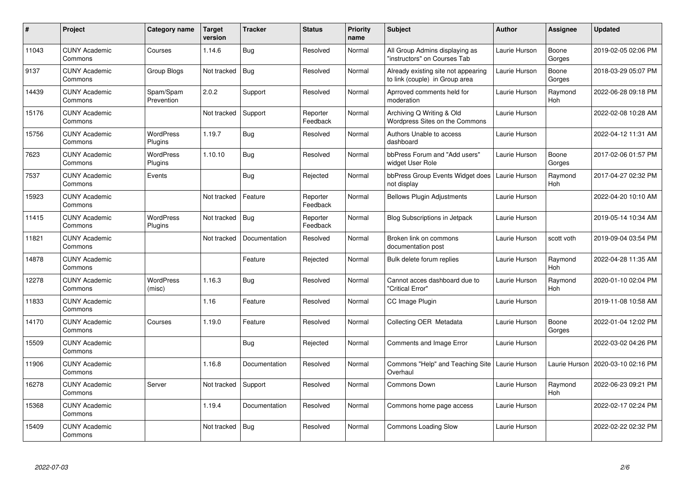| $\#$  | Project                         | Category name               | <b>Target</b><br>version | <b>Tracker</b> | <b>Status</b>        | <b>Priority</b><br>name | <b>Subject</b>                                                        | <b>Author</b> | Assignee              | Updated             |
|-------|---------------------------------|-----------------------------|--------------------------|----------------|----------------------|-------------------------|-----------------------------------------------------------------------|---------------|-----------------------|---------------------|
| 11043 | <b>CUNY Academic</b><br>Commons | Courses                     | 1.14.6                   | Bug            | Resolved             | Normal                  | All Group Admins displaying as<br>"instructors" on Courses Tab        | Laurie Hurson | Boone<br>Gorges       | 2019-02-05 02:06 PM |
| 9137  | <b>CUNY Academic</b><br>Commons | Group Blogs                 | Not tracked              | <b>Bug</b>     | Resolved             | Normal                  | Already existing site not appearing<br>to link (couple) in Group area | Laurie Hurson | Boone<br>Gorges       | 2018-03-29 05:07 PM |
| 14439 | <b>CUNY Academic</b><br>Commons | Spam/Spam<br>Prevention     | 2.0.2                    | Support        | Resolved             | Normal                  | Aprroved comments held for<br>moderation                              | Laurie Hurson | Raymond<br>Hoh        | 2022-06-28 09:18 PM |
| 15176 | <b>CUNY Academic</b><br>Commons |                             | Not tracked              | Support        | Reporter<br>Feedback | Normal                  | Archiving Q Writing & Old<br>Wordpress Sites on the Commons           | Laurie Hurson |                       | 2022-02-08 10:28 AM |
| 15756 | <b>CUNY Academic</b><br>Commons | <b>WordPress</b><br>Plugins | 1.19.7                   | <b>Bug</b>     | Resolved             | Normal                  | Authors Unable to access<br>dashboard                                 | Laurie Hurson |                       | 2022-04-12 11:31 AM |
| 7623  | <b>CUNY Academic</b><br>Commons | <b>WordPress</b><br>Plugins | 1.10.10                  | <b>Bug</b>     | Resolved             | Normal                  | bbPress Forum and "Add users"<br>widget User Role                     | Laurie Hurson | Boone<br>Gorges       | 2017-02-06 01:57 PM |
| 7537  | <b>CUNY Academic</b><br>Commons | Events                      |                          | Bug            | Rejected             | Normal                  | bbPress Group Events Widget does<br>not display                       | Laurie Hurson | Raymond<br><b>Hoh</b> | 2017-04-27 02:32 PM |
| 15923 | <b>CUNY Academic</b><br>Commons |                             | Not tracked              | Feature        | Reporter<br>Feedback | Normal                  | <b>Bellows Plugin Adjustments</b>                                     | Laurie Hurson |                       | 2022-04-20 10:10 AM |
| 11415 | <b>CUNY Academic</b><br>Commons | <b>WordPress</b><br>Plugins | Not tracked              | Bug            | Reporter<br>Feedback | Normal                  | Blog Subscriptions in Jetpack                                         | Laurie Hurson |                       | 2019-05-14 10:34 AM |
| 11821 | <b>CUNY Academic</b><br>Commons |                             | Not tracked              | Documentation  | Resolved             | Normal                  | Broken link on commons<br>documentation post                          | Laurie Hurson | scott voth            | 2019-09-04 03:54 PM |
| 14878 | <b>CUNY Academic</b><br>Commons |                             |                          | Feature        | Rejected             | Normal                  | Bulk delete forum replies                                             | Laurie Hurson | Raymond<br><b>Hoh</b> | 2022-04-28 11:35 AM |
| 12278 | <b>CUNY Academic</b><br>Commons | <b>WordPress</b><br>(misc)  | 1.16.3                   | Bug            | Resolved             | Normal                  | Cannot acces dashboard due to<br>'Critical Error"                     | Laurie Hurson | Raymond<br>Hoh        | 2020-01-10 02:04 PM |
| 11833 | <b>CUNY Academic</b><br>Commons |                             | 1.16                     | Feature        | Resolved             | Normal                  | CC Image Plugin                                                       | Laurie Hurson |                       | 2019-11-08 10:58 AM |
| 14170 | <b>CUNY Academic</b><br>Commons | Courses                     | 1.19.0                   | Feature        | Resolved             | Normal                  | Collecting OER Metadata                                               | Laurie Hurson | Boone<br>Gorges       | 2022-01-04 12:02 PM |
| 15509 | <b>CUNY Academic</b><br>Commons |                             |                          | Bug            | Rejected             | Normal                  | Comments and Image Error                                              | Laurie Hurson |                       | 2022-03-02 04:26 PM |
| 11906 | <b>CUNY Academic</b><br>Commons |                             | 1.16.8                   | Documentation  | Resolved             | Normal                  | Commons "Help" and Teaching Site<br>Overhaul                          | Laurie Hurson | Laurie Hurson         | 2020-03-10 02:16 PM |
| 16278 | <b>CUNY Academic</b><br>Commons | Server                      | Not tracked              | Support        | Resolved             | Normal                  | Commons Down                                                          | Laurie Hurson | Raymond<br>Hoh        | 2022-06-23 09:21 PM |
| 15368 | <b>CUNY Academic</b><br>Commons |                             | 1.19.4                   | Documentation  | Resolved             | Normal                  | Commons home page access                                              | Laurie Hurson |                       | 2022-02-17 02:24 PM |
| 15409 | <b>CUNY Academic</b><br>Commons |                             | Not tracked              | <b>Bug</b>     | Resolved             | Normal                  | <b>Commons Loading Slow</b>                                           | Laurie Hurson |                       | 2022-02-22 02:32 PM |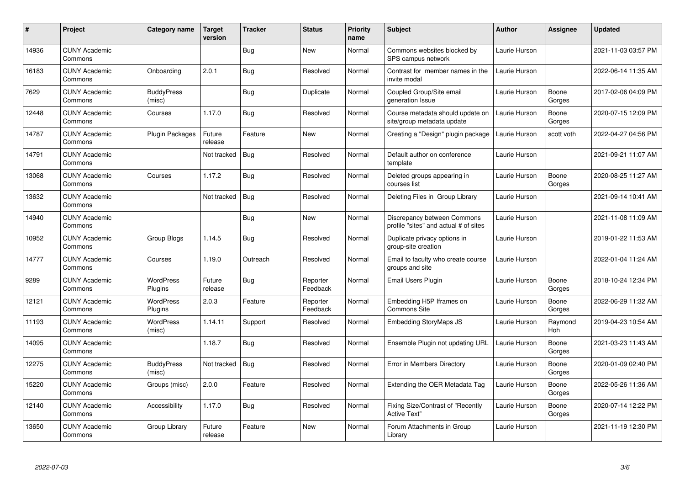| $\pmb{\#}$ | Project                         | Category name               | Target<br>version | <b>Tracker</b> | <b>Status</b>        | <b>Priority</b><br>name | <b>Subject</b>                                                       | <b>Author</b> | <b>Assignee</b> | <b>Updated</b>      |
|------------|---------------------------------|-----------------------------|-------------------|----------------|----------------------|-------------------------|----------------------------------------------------------------------|---------------|-----------------|---------------------|
| 14936      | <b>CUNY Academic</b><br>Commons |                             |                   | Bug            | <b>New</b>           | Normal                  | Commons websites blocked by<br>SPS campus network                    | Laurie Hurson |                 | 2021-11-03 03:57 PM |
| 16183      | <b>CUNY Academic</b><br>Commons | Onboarding                  | 2.0.1             | <b>Bug</b>     | Resolved             | Normal                  | Contrast for member names in the<br>invite modal                     | Laurie Hurson |                 | 2022-06-14 11:35 AM |
| 7629       | <b>CUNY Academic</b><br>Commons | <b>BuddyPress</b><br>(misc) |                   | <b>Bug</b>     | Duplicate            | Normal                  | Coupled Group/Site email<br>generation Issue                         | Laurie Hurson | Boone<br>Gorges | 2017-02-06 04:09 PM |
| 12448      | <b>CUNY Academic</b><br>Commons | Courses                     | 1.17.0            | <b>Bug</b>     | Resolved             | Normal                  | Course metadata should update on<br>site/group metadata update       | Laurie Hurson | Boone<br>Gorges | 2020-07-15 12:09 PM |
| 14787      | <b>CUNY Academic</b><br>Commons | <b>Plugin Packages</b>      | Future<br>release | Feature        | <b>New</b>           | Normal                  | Creating a "Design" plugin package                                   | Laurie Hurson | scott voth      | 2022-04-27 04:56 PM |
| 14791      | <b>CUNY Academic</b><br>Commons |                             | Not tracked       | Bug            | Resolved             | Normal                  | Default author on conference<br>template                             | Laurie Hurson |                 | 2021-09-21 11:07 AM |
| 13068      | <b>CUNY Academic</b><br>Commons | Courses                     | 1.17.2            | Bug            | Resolved             | Normal                  | Deleted groups appearing in<br>courses list                          | Laurie Hurson | Boone<br>Gorges | 2020-08-25 11:27 AM |
| 13632      | <b>CUNY Academic</b><br>Commons |                             | Not tracked       | Bug            | Resolved             | Normal                  | Deleting Files in Group Library                                      | Laurie Hurson |                 | 2021-09-14 10:41 AM |
| 14940      | <b>CUNY Academic</b><br>Commons |                             |                   | Bug            | New                  | Normal                  | Discrepancy between Commons<br>profile "sites" and actual # of sites | Laurie Hurson |                 | 2021-11-08 11:09 AM |
| 10952      | <b>CUNY Academic</b><br>Commons | Group Blogs                 | 1.14.5            | <b>Bug</b>     | Resolved             | Normal                  | Duplicate privacy options in<br>group-site creation                  | Laurie Hurson |                 | 2019-01-22 11:53 AM |
| 14777      | <b>CUNY Academic</b><br>Commons | Courses                     | 1.19.0            | Outreach       | Resolved             | Normal                  | Email to faculty who create course<br>groups and site                | Laurie Hurson |                 | 2022-01-04 11:24 AM |
| 9289       | <b>CUNY Academic</b><br>Commons | <b>WordPress</b><br>Plugins | Future<br>release | Bug            | Reporter<br>Feedback | Normal                  | Email Users Plugin                                                   | Laurie Hurson | Boone<br>Gorges | 2018-10-24 12:34 PM |
| 12121      | <b>CUNY Academic</b><br>Commons | <b>WordPress</b><br>Plugins | 2.0.3             | Feature        | Reporter<br>Feedback | Normal                  | Embedding H5P Iframes on<br><b>Commons Site</b>                      | Laurie Hurson | Boone<br>Gorges | 2022-06-29 11:32 AM |
| 11193      | <b>CUNY Academic</b><br>Commons | <b>WordPress</b><br>(misc)  | 1.14.11           | Support        | Resolved             | Normal                  | <b>Embedding StoryMaps JS</b>                                        | Laurie Hurson | Raymond<br>Hoh  | 2019-04-23 10:54 AM |
| 14095      | <b>CUNY Academic</b><br>Commons |                             | 1.18.7            | <b>Bug</b>     | Resolved             | Normal                  | Ensemble Plugin not updating URL                                     | Laurie Hurson | Boone<br>Gorges | 2021-03-23 11:43 AM |
| 12275      | <b>CUNY Academic</b><br>Commons | <b>BuddyPress</b><br>(misc) | Not tracked       | Bug            | Resolved             | Normal                  | Error in Members Directory                                           | Laurie Hurson | Boone<br>Gorges | 2020-01-09 02:40 PM |
| 15220      | <b>CUNY Academic</b><br>Commons | Groups (misc)               | 2.0.0             | Feature        | Resolved             | Normal                  | Extending the OER Metadata Tag                                       | Laurie Hurson | Boone<br>Gorges | 2022-05-26 11:36 AM |
| 12140      | <b>CUNY Academic</b><br>Commons | Accessibility               | 1.17.0            | <b>Bug</b>     | Resolved             | Normal                  | Fixing Size/Contrast of "Recently<br><b>Active Text"</b>             | Laurie Hurson | Boone<br>Gorges | 2020-07-14 12:22 PM |
| 13650      | <b>CUNY Academic</b><br>Commons | Group Library               | Future<br>release | Feature        | <b>New</b>           | Normal                  | Forum Attachments in Group<br>Library                                | Laurie Hurson |                 | 2021-11-19 12:30 PM |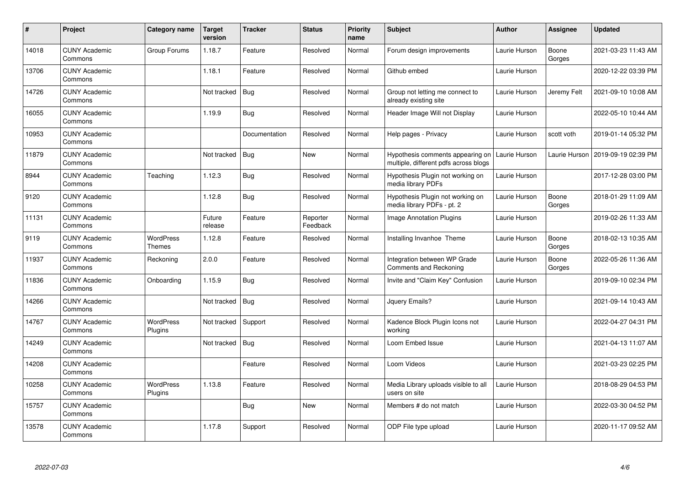| #     | Project                         | Category name               | <b>Target</b><br>version | <b>Tracker</b> | <b>Status</b>        | <b>Priority</b><br>name | <b>Subject</b>                                                            | <b>Author</b> | Assignee        | <b>Updated</b>      |
|-------|---------------------------------|-----------------------------|--------------------------|----------------|----------------------|-------------------------|---------------------------------------------------------------------------|---------------|-----------------|---------------------|
| 14018 | <b>CUNY Academic</b><br>Commons | Group Forums                | 1.18.7                   | Feature        | Resolved             | Normal                  | Forum design improvements                                                 | Laurie Hurson | Boone<br>Gorges | 2021-03-23 11:43 AM |
| 13706 | <b>CUNY Academic</b><br>Commons |                             | 1.18.1                   | Feature        | Resolved             | Normal                  | Github embed                                                              | Laurie Hurson |                 | 2020-12-22 03:39 PM |
| 14726 | <b>CUNY Academic</b><br>Commons |                             | Not tracked              | <b>Bug</b>     | Resolved             | Normal                  | Group not letting me connect to<br>already existing site                  | Laurie Hurson | Jeremy Felt     | 2021-09-10 10:08 AM |
| 16055 | <b>CUNY Academic</b><br>Commons |                             | 1.19.9                   | Bug            | Resolved             | Normal                  | Header Image Will not Display                                             | Laurie Hurson |                 | 2022-05-10 10:44 AM |
| 10953 | <b>CUNY Academic</b><br>Commons |                             |                          | Documentation  | Resolved             | Normal                  | Help pages - Privacy                                                      | Laurie Hurson | scott voth      | 2019-01-14 05:32 PM |
| 11879 | <b>CUNY Academic</b><br>Commons |                             | Not tracked              | <b>Bug</b>     | New                  | Normal                  | Hypothesis comments appearing on<br>multiple, different pdfs across blogs | Laurie Hurson | Laurie Hurson   | 2019-09-19 02:39 PM |
| 8944  | <b>CUNY Academic</b><br>Commons | Teaching                    | 1.12.3                   | <b>Bug</b>     | Resolved             | Normal                  | Hypothesis Plugin not working on<br>media library PDFs                    | Laurie Hurson |                 | 2017-12-28 03:00 PM |
| 9120  | <b>CUNY Academic</b><br>Commons |                             | 1.12.8                   | Bug            | Resolved             | Normal                  | Hypothesis Plugin not working on<br>media library PDFs - pt. 2            | Laurie Hurson | Boone<br>Gorges | 2018-01-29 11:09 AM |
| 11131 | <b>CUNY Academic</b><br>Commons |                             | Future<br>release        | Feature        | Reporter<br>Feedback | Normal                  | <b>Image Annotation Plugins</b>                                           | Laurie Hurson |                 | 2019-02-26 11:33 AM |
| 9119  | <b>CUNY Academic</b><br>Commons | <b>WordPress</b><br>Themes  | 1.12.8                   | Feature        | Resolved             | Normal                  | Installing Invanhoe Theme                                                 | Laurie Hurson | Boone<br>Gorges | 2018-02-13 10:35 AM |
| 11937 | <b>CUNY Academic</b><br>Commons | Reckoning                   | 2.0.0                    | Feature        | Resolved             | Normal                  | Integration between WP Grade<br>Comments and Reckoning                    | Laurie Hurson | Boone<br>Gorges | 2022-05-26 11:36 AM |
| 11836 | <b>CUNY Academic</b><br>Commons | Onboarding                  | 1.15.9                   | <b>Bug</b>     | Resolved             | Normal                  | Invite and "Claim Key" Confusion                                          | Laurie Hurson |                 | 2019-09-10 02:34 PM |
| 14266 | <b>CUNY Academic</b><br>Commons |                             | Not tracked              | Bug            | Resolved             | Normal                  | Jquery Emails?                                                            | Laurie Hurson |                 | 2021-09-14 10:43 AM |
| 14767 | <b>CUNY Academic</b><br>Commons | <b>WordPress</b><br>Plugins | Not tracked              | Support        | Resolved             | Normal                  | Kadence Block Plugin Icons not<br>working                                 | Laurie Hurson |                 | 2022-04-27 04:31 PM |
| 14249 | <b>CUNY Academic</b><br>Commons |                             | Not tracked              | <b>Bug</b>     | Resolved             | Normal                  | Loom Embed Issue                                                          | Laurie Hurson |                 | 2021-04-13 11:07 AM |
| 14208 | <b>CUNY Academic</b><br>Commons |                             |                          | Feature        | Resolved             | Normal                  | Loom Videos                                                               | Laurie Hurson |                 | 2021-03-23 02:25 PM |
| 10258 | <b>CUNY Academic</b><br>Commons | <b>WordPress</b><br>Plugins | 1.13.8                   | Feature        | Resolved             | Normal                  | Media Library uploads visible to all<br>users on site                     | Laurie Hurson |                 | 2018-08-29 04:53 PM |
| 15757 | <b>CUNY Academic</b><br>Commons |                             |                          | Bug            | New                  | Normal                  | Members # do not match                                                    | Laurie Hurson |                 | 2022-03-30 04:52 PM |
| 13578 | <b>CUNY Academic</b><br>Commons |                             | 1.17.8                   | Support        | Resolved             | Normal                  | ODP File type upload                                                      | Laurie Hurson |                 | 2020-11-17 09:52 AM |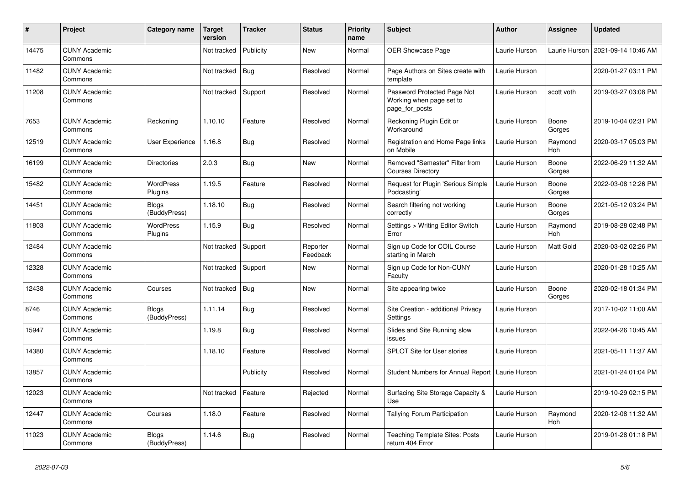| $\pmb{\#}$ | <b>Project</b>                  | Category name                | Target<br>version | <b>Tracker</b> | <b>Status</b>        | <b>Priority</b><br>name | Subject                                                                   | <b>Author</b> | Assignee              | <b>Updated</b>      |
|------------|---------------------------------|------------------------------|-------------------|----------------|----------------------|-------------------------|---------------------------------------------------------------------------|---------------|-----------------------|---------------------|
| 14475      | <b>CUNY Academic</b><br>Commons |                              | Not tracked       | Publicity      | New                  | Normal                  | OER Showcase Page                                                         | Laurie Hurson | Laurie Hurson         | 2021-09-14 10:46 AM |
| 11482      | <b>CUNY Academic</b><br>Commons |                              | Not tracked       | <b>Bug</b>     | Resolved             | Normal                  | Page Authors on Sites create with<br>template                             | Laurie Hurson |                       | 2020-01-27 03:11 PM |
| 11208      | <b>CUNY Academic</b><br>Commons |                              | Not tracked       | Support        | Resolved             | Normal                  | Password Protected Page Not<br>Working when page set to<br>page_for_posts | Laurie Hurson | scott voth            | 2019-03-27 03:08 PM |
| 7653       | <b>CUNY Academic</b><br>Commons | Reckoning                    | 1.10.10           | Feature        | Resolved             | Normal                  | Reckoning Plugin Edit or<br>Workaround                                    | Laurie Hurson | Boone<br>Gorges       | 2019-10-04 02:31 PM |
| 12519      | <b>CUNY Academic</b><br>Commons | User Experience              | 1.16.8            | Bug            | Resolved             | Normal                  | Registration and Home Page links<br>on Mobile                             | Laurie Hurson | Raymond<br>Hoh        | 2020-03-17 05:03 PM |
| 16199      | <b>CUNY Academic</b><br>Commons | Directories                  | 2.0.3             | <b>Bug</b>     | <b>New</b>           | Normal                  | Removed "Semester" Filter from<br><b>Courses Directory</b>                | Laurie Hurson | Boone<br>Gorges       | 2022-06-29 11:32 AM |
| 15482      | <b>CUNY Academic</b><br>Commons | <b>WordPress</b><br>Plugins  | 1.19.5            | Feature        | Resolved             | Normal                  | Request for Plugin 'Serious Simple<br>Podcasting'                         | Laurie Hurson | Boone<br>Gorges       | 2022-03-08 12:26 PM |
| 14451      | <b>CUNY Academic</b><br>Commons | Blogs<br>(BuddyPress)        | 1.18.10           | <b>Bug</b>     | Resolved             | Normal                  | Search filtering not working<br>correctly                                 | Laurie Hurson | Boone<br>Gorges       | 2021-05-12 03:24 PM |
| 11803      | <b>CUNY Academic</b><br>Commons | <b>WordPress</b><br>Plugins  | 1.15.9            | <b>Bug</b>     | Resolved             | Normal                  | Settings > Writing Editor Switch<br>Error                                 | Laurie Hurson | Raymond<br><b>Hoh</b> | 2019-08-28 02:48 PM |
| 12484      | <b>CUNY Academic</b><br>Commons |                              | Not tracked       | Support        | Reporter<br>Feedback | Normal                  | Sign up Code for COIL Course<br>starting in March                         | Laurie Hurson | <b>Matt Gold</b>      | 2020-03-02 02:26 PM |
| 12328      | <b>CUNY Academic</b><br>Commons |                              | Not tracked       | Support        | New                  | Normal                  | Sign up Code for Non-CUNY<br>Faculty                                      | Laurie Hurson |                       | 2020-01-28 10:25 AM |
| 12438      | <b>CUNY Academic</b><br>Commons | Courses                      | Not tracked       | Bug            | New                  | Normal                  | Site appearing twice                                                      | Laurie Hurson | Boone<br>Gorges       | 2020-02-18 01:34 PM |
| 8746       | <b>CUNY Academic</b><br>Commons | Blogs<br>(BuddyPress)        | 1.11.14           | <b>Bug</b>     | Resolved             | Normal                  | Site Creation - additional Privacy<br>Settings                            | Laurie Hurson |                       | 2017-10-02 11:00 AM |
| 15947      | <b>CUNY Academic</b><br>Commons |                              | 1.19.8            | Bug            | Resolved             | Normal                  | Slides and Site Running slow<br>issues                                    | Laurie Hurson |                       | 2022-04-26 10:45 AM |
| 14380      | <b>CUNY Academic</b><br>Commons |                              | 1.18.10           | Feature        | Resolved             | Normal                  | SPLOT Site for User stories                                               | Laurie Hurson |                       | 2021-05-11 11:37 AM |
| 13857      | <b>CUNY Academic</b><br>Commons |                              |                   | Publicity      | Resolved             | Normal                  | <b>Student Numbers for Annual Report</b>                                  | Laurie Hurson |                       | 2021-01-24 01:04 PM |
| 12023      | <b>CUNY Academic</b><br>Commons |                              | Not tracked       | Feature        | Rejected             | Normal                  | Surfacing Site Storage Capacity &<br>Use                                  | Laurie Hurson |                       | 2019-10-29 02:15 PM |
| 12447      | <b>CUNY Academic</b><br>Commons | Courses                      | 1.18.0            | Feature        | Resolved             | Normal                  | Tallying Forum Participation                                              | Laurie Hurson | Raymond<br>Hoh        | 2020-12-08 11:32 AM |
| 11023      | <b>CUNY Academic</b><br>Commons | <b>Blogs</b><br>(BuddyPress) | 1.14.6            | <b>Bug</b>     | Resolved             | Normal                  | <b>Teaching Template Sites: Posts</b><br>return 404 Error                 | Laurie Hurson |                       | 2019-01-28 01:18 PM |